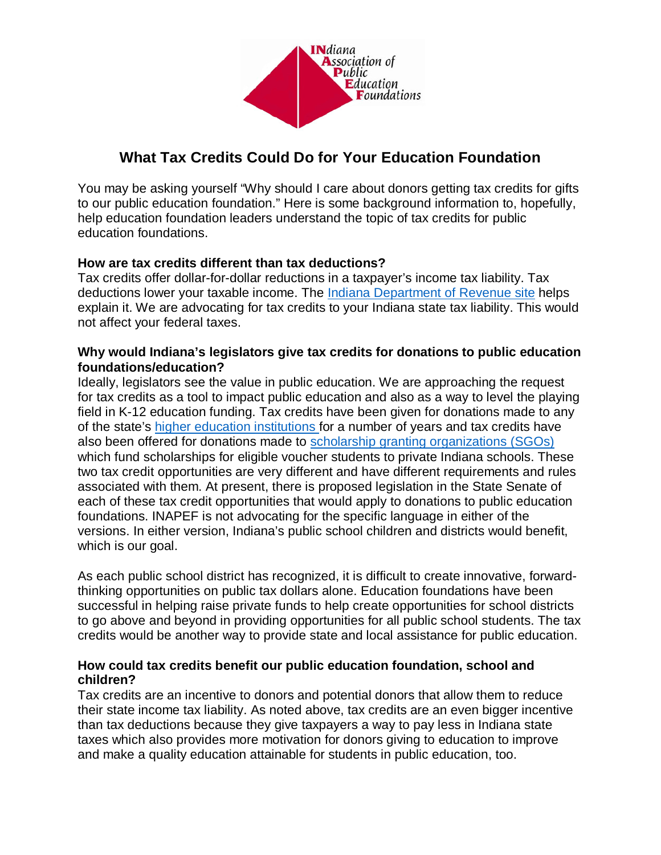

# **What Tax Credits Could Do for Your Education Foundation**

You may be asking yourself "Why should I care about donors getting tax credits for gifts to our public education foundation." Here is some background information to, hopefully, help education foundation leaders understand the topic of tax credits for public education foundations.

## **How are tax credits different than tax deductions?**

Tax credits offer dollar-for-dollar reductions in a taxpayer's income tax liability. Tax deductions lower your taxable income. The [Indiana Department of Revenue site](https://www.in.gov/dor/4756.htm) helps explain it. We are advocating for tax credits to your Indiana state tax liability. This would not affect your federal taxes.

### **Why would Indiana's legislators give tax credits for donations to public education foundations/education?**

Ideally, legislators see the value in public education. We are approaching the request for tax credits as a tool to impact public education and also as a way to level the playing field in K-12 education funding. Tax credits have been given for donations made to any of the state's [higher education institutions f](http://iga.in.gov/legislative/laws/2017/ic/titles/006#6-3-3-5)or a number of years and tax credits have also been offered for donations made to [scholarship granting organizations \(SGOs\)](http://iga.in.gov/legislative/laws/2017/ic/titles/006) which fund scholarships for eligible voucher students to private Indiana schools. These two tax credit opportunities are very different and have different requirements and rules associated with them. At present, there is proposed legislation in the State Senate of each of these tax credit opportunities that would apply to donations to public education foundations. INAPEF is not advocating for the specific language in either of the versions. In either version, Indiana's public school children and districts would benefit, which is our goal.

As each public school district has recognized, it is difficult to create innovative, forwardthinking opportunities on public tax dollars alone. Education foundations have been successful in helping raise private funds to help create opportunities for school districts to go above and beyond in providing opportunities for all public school students. The tax credits would be another way to provide state and local assistance for public education.

### **How could tax credits benefit our public education foundation, school and children?**

Tax credits are an incentive to donors and potential donors that allow them to reduce their state income tax liability. As noted above, tax credits are an even bigger incentive than tax deductions because they give taxpayers a way to pay less in Indiana state taxes which also provides more motivation for donors giving to education to improve and make a quality education attainable for students in public education, too.